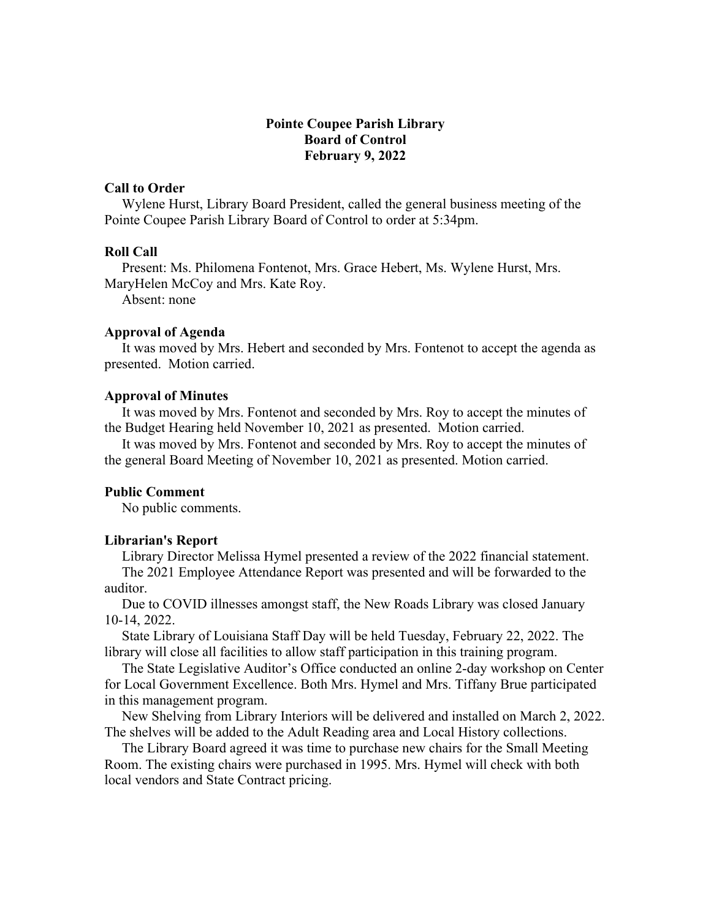# **Pointe Coupee Parish Library Board of Control February 9, 2022**

### **Call to Order**

 Wylene Hurst, Library Board President, called the general business meeting of the Pointe Coupee Parish Library Board of Control to order at 5:34pm.

## **Roll Call**

 Present: Ms. Philomena Fontenot, Mrs. Grace Hebert, Ms. Wylene Hurst, Mrs. MaryHelen McCoy and Mrs. Kate Roy.

Absent: none

### **Approval of Agenda**

 It was moved by Mrs. Hebert and seconded by Mrs. Fontenot to accept the agenda as presented. Motion carried.

#### **Approval of Minutes**

 It was moved by Mrs. Fontenot and seconded by Mrs. Roy to accept the minutes of the Budget Hearing held November 10, 2021 as presented. Motion carried.

 It was moved by Mrs. Fontenot and seconded by Mrs. Roy to accept the minutes of the general Board Meeting of November 10, 2021 as presented. Motion carried.

#### **Public Comment**

No public comments.

#### **Librarian's Report**

 Library Director Melissa Hymel presented a review of the 2022 financial statement. The 2021 Employee Attendance Report was presented and will be forwarded to the auditor.

 Due to COVID illnesses amongst staff, the New Roads Library was closed January 10-14, 2022.

 State Library of Louisiana Staff Day will be held Tuesday, February 22, 2022. The library will close all facilities to allow staff participation in this training program.

 The State Legislative Auditor's Office conducted an online 2-day workshop on Center for Local Government Excellence. Both Mrs. Hymel and Mrs. Tiffany Brue participated in this management program.

 New Shelving from Library Interiors will be delivered and installed on March 2, 2022. The shelves will be added to the Adult Reading area and Local History collections.

 The Library Board agreed it was time to purchase new chairs for the Small Meeting Room. The existing chairs were purchased in 1995. Mrs. Hymel will check with both local vendors and State Contract pricing.